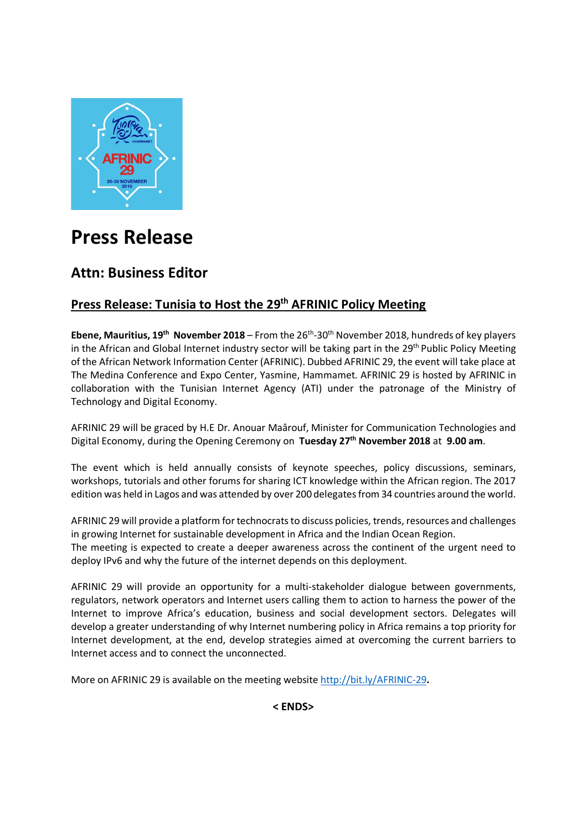

# **Press Release**

## **Attn: Business Editor**

### **Press Release: Tunisia to Host the 29th AFRINIC Policy Meeting**

**Ebene, Mauritius, 19th November 2018** – From the 26th-30th November 2018, hundreds of key players in the African and Global Internet industry sector will be taking part in the 29<sup>th</sup> Public Policy Meeting of the African Network Information Center (AFRINIC). Dubbed AFRINIC 29, the event will take place at The Medina Conference and Expo Center, Yasmine, Hammamet. AFRINIC 29 is hosted by AFRINIC in collaboration with the Tunisian Internet Agency (ATI) under the patronage of the Ministry of Technology and Digital Economy.

AFRINIC 29 will be graced by H.E Dr. Anouar Maârouf, Minister for Communication Technologies and Digital Economy, during the Opening Ceremony on **Tuesday 27th November 2018** at **9.00 am**.

The event which is held annually consists of keynote speeches, policy discussions, seminars, workshops, tutorials and other forums for sharing ICT knowledge within the African region. The 2017 edition was held in Lagos and was attended by over 200 delegates from 34 countries around the world.

AFRINIC 29 will provide a platform for technocrats to discuss policies, trends, resources and challenges in growing Internet for sustainable development in Africa and the Indian Ocean Region. The meeting is expected to create a deeper awareness across the continent of the urgent need to

deploy IPv6 and why the future of the internet depends on this deployment.

AFRINIC 29 will provide an opportunity for a multi-stakeholder dialogue between governments, regulators, network operators and Internet users calling them to action to harness the power of the Internet to improve Africa's education, business and social development sectors. Delegates will develop a greater understanding of why Internet numbering policy in Africa remains a top priority for Internet development, at the end, develop strategies aimed at overcoming the current barriers to Internet access and to connect the unconnected.

More on AFRINIC 29 is available on the meeting website http://bit.ly/AFRINIC-29**.** 

**< ENDS>**